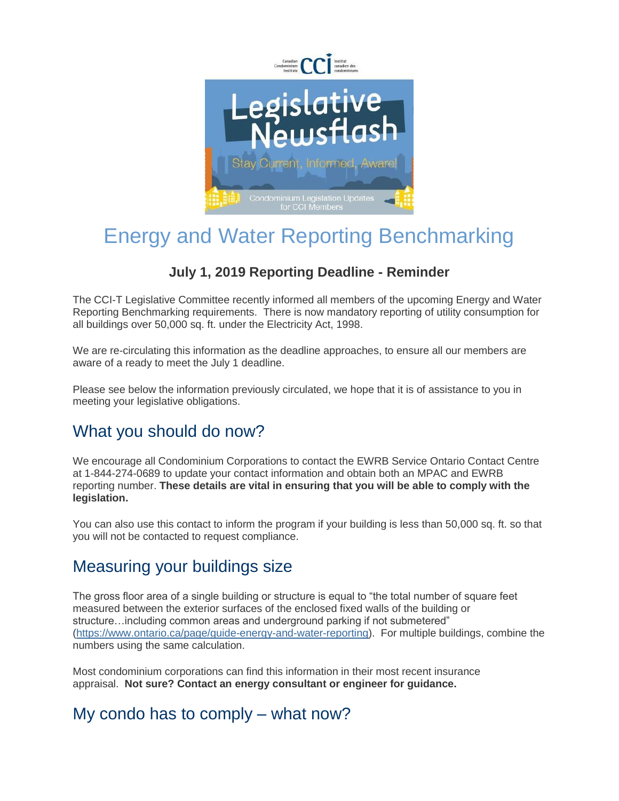

# Energy and Water Reporting Benchmarking

### **July 1, 2019 Reporting Deadline - Reminder**

The CCI-T Legislative Committee recently informed all members of the upcoming Energy and Water Reporting Benchmarking requirements. There is now mandatory reporting of utility consumption for all buildings over 50,000 sq. ft. under the Electricity Act, 1998.

We are re-circulating this information as the deadline approaches, to ensure all our members are aware of a ready to meet the July 1 deadline.

Please see below the information previously circulated, we hope that it is of assistance to you in meeting your legislative obligations.

### What you should do now?

We encourage all Condominium Corporations to contact the EWRB Service Ontario Contact Centre at 1-844-274-0689 to update your contact information and obtain both an MPAC and EWRB reporting number. **These details are vital in ensuring that you will be able to comply with the legislation.**

You can also use this contact to inform the program if your building is less than 50,000 sq. ft. so that you will not be contacted to request compliance.

### Measuring your buildings size

The gross floor area of a single building or structure is equal to "the total number of square feet measured between the exterior surfaces of the enclosed fixed walls of the building or structure…including common areas and underground parking if not submetered" [\(https://www.ontario.ca/page/guide-energy-and-water-reporting\)](https://ccitoronto.us7.list-manage.com/track/click?u=0b3d2f73888a0f49a8c4b259a&id=e4a857e624&e=c58516635d). For multiple buildings, combine the numbers using the same calculation.

Most condominium corporations can find this information in their most recent insurance appraisal. **Not sure? Contact an energy consultant or engineer for guidance.**

### My condo has to comply – what now?